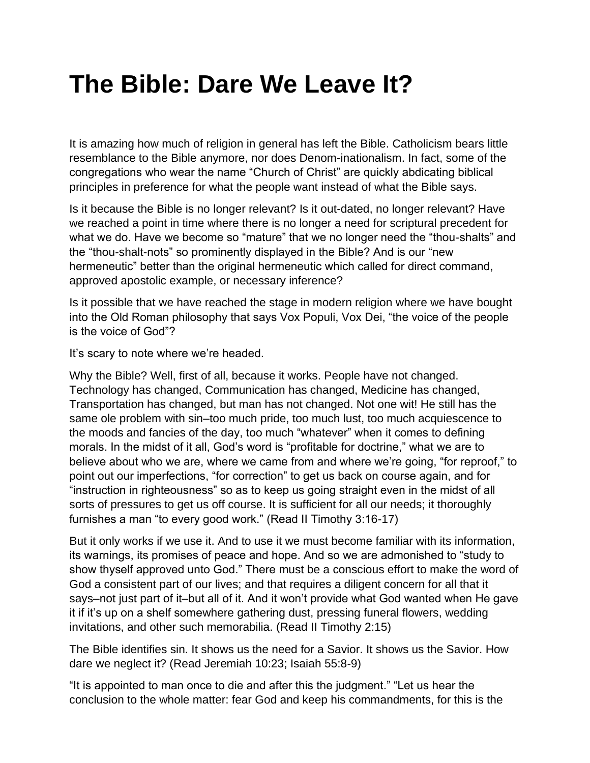## **The Bible: Dare We Leave It?**

It is amazing how much of religion in general has left the Bible. Catholicism bears little resemblance to the Bible anymore, nor does Denom-inationalism. In fact, some of the congregations who wear the name "Church of Christ" are quickly abdicating biblical principles in preference for what the people want instead of what the Bible says.

Is it because the Bible is no longer relevant? Is it out-dated, no longer relevant? Have we reached a point in time where there is no longer a need for scriptural precedent for what we do. Have we become so "mature" that we no longer need the "thou-shalts" and the "thou-shalt-nots" so prominently displayed in the Bible? And is our "new hermeneutic" better than the original hermeneutic which called for direct command, approved apostolic example, or necessary inference?

Is it possible that we have reached the stage in modern religion where we have bought into the Old Roman philosophy that says Vox Populi, Vox Dei, "the voice of the people is the voice of God"?

It's scary to note where we're headed.

Why the Bible? Well, first of all, because it works. People have not changed. Technology has changed, Communication has changed, Medicine has changed, Transportation has changed, but man has not changed. Not one wit! He still has the same ole problem with sin–too much pride, too much lust, too much acquiescence to the moods and fancies of the day, too much "whatever" when it comes to defining morals. In the midst of it all, God's word is "profitable for doctrine," what we are to believe about who we are, where we came from and where we're going, "for reproof," to point out our imperfections, "for correction" to get us back on course again, and for "instruction in righteousness" so as to keep us going straight even in the midst of all sorts of pressures to get us off course. It is sufficient for all our needs; it thoroughly furnishes a man "to every good work." (Read II Timothy 3:16-17)

But it only works if we use it. And to use it we must become familiar with its information, its warnings, its promises of peace and hope. And so we are admonished to "study to show thyself approved unto God." There must be a conscious effort to make the word of God a consistent part of our lives; and that requires a diligent concern for all that it says–not just part of it–but all of it. And it won't provide what God wanted when He gave it if it's up on a shelf somewhere gathering dust, pressing funeral flowers, wedding invitations, and other such memorabilia. (Read II Timothy 2:15)

The Bible identifies sin. It shows us the need for a Savior. It shows us the Savior. How dare we neglect it? (Read Jeremiah 10:23; Isaiah 55:8-9)

"It is appointed to man once to die and after this the judgment." "Let us hear the conclusion to the whole matter: fear God and keep his commandments, for this is the